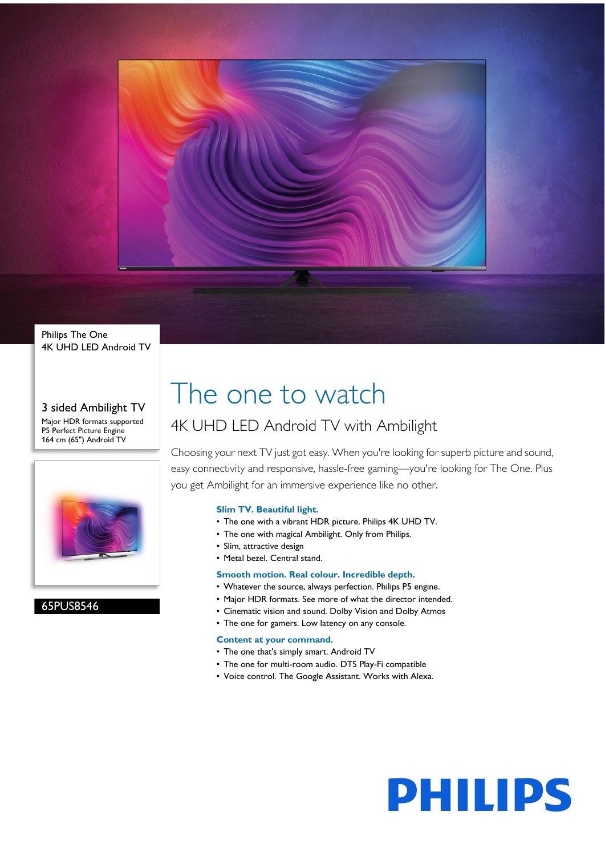

Philips The One 4K UHD LED Android TV

3 sided Ambilight TV Major HDR formats supported P5 Perfect Picture Engine 164 cm (65") Android TV



65PUS8546

# The one to watch

# 4K UHD LED Android TV with Ambilight

Choosing your next TV just got easy. When you're looking for superb picture and sound, easy connectivity and responsive, hassle-free gaming—you're looking for The One. Plus you get Ambilight for an immersive experience like no other.

# **Slim TV. Beautiful light.**

- The one with a vibrant HDR picture. Philips 4K UHD TV.
- The one with magical Ambilight. Only from Philips.
- Slim, attractive design
- Metal bezel. Central stand.

# **Smooth motion. Real colour. Incredible depth.**

- Whatever the source, always perfection. Philips P5 engine.
- Major HDR formats. See more of what the director intended.
- Cinematic vision and sound. Dolby Vision and Dolby Atmos
- The one for gamers. Low latency on any console.

### **Content at your command.**

- The one that's simply smart. Android TV
- The one for multi-room audio. DTS Play-Fi compatible
- Voice control. The Google Assistant. Works with Alexa.

**PHILIPS**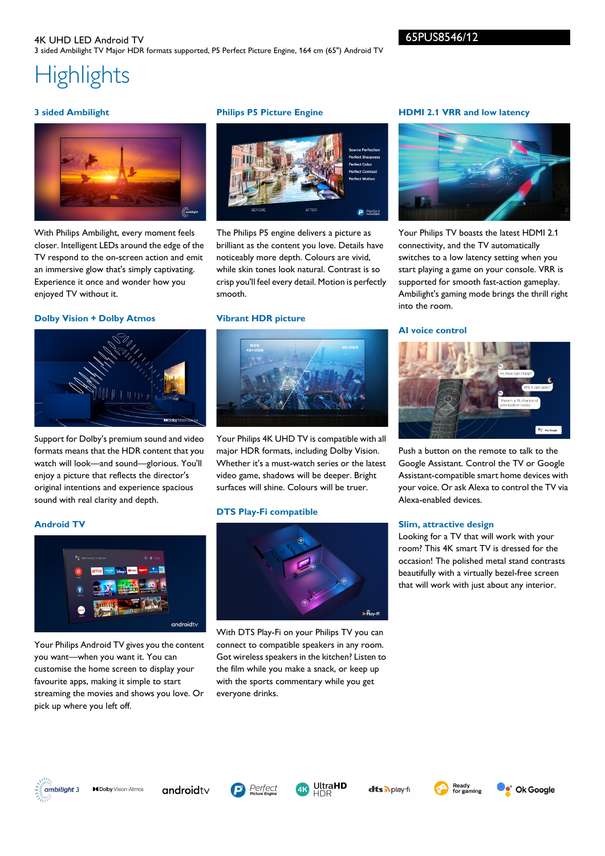# **Highlights**

# **3 sided Ambilight**



With Philips Ambilight, every moment feels closer. Intelligent LEDs around the edge of the TV respond to the on-screen action and emit an immersive glow that's simply captivating. Experience it once and wonder how you enjoyed TV without it.

### **Dolby Vision + Dolby Atmos**



Support for Dolby's premium sound and video formats means that the HDR content that you watch will look—and sound—glorious. You'll enjoy a picture that reflects the director's original intentions and experience spacious sound with real clarity and depth.

# **Philips P5 Picture Engine**



The Philips P5 engine delivers a picture as brilliant as the content you love. Details have noticeably more depth. Colours are vivid, while skin tones look natural. Contrast is so crisp you'll feel every detail. Motion is perfectly smooth.

### **Vibrant HDR picture**



Your Philips 4K UHD TV is compatible with all major HDR formats, including Dolby Vision. Whether it's a must-watch series or the latest video game, shadows will be deeper. Bright surfaces will shine. Colours will be truer.

### **DTS Play-Fi compatible**



With DTS Play-Fi on your Philips TV you can connect to compatible speakers in any room. Got wireless speakers in the kitchen? Listen to the film while you make a snack, or keep up with the sports commentary while you get everyone drinks.

## **HDMI 2.1 VRR and low latency**



Your Philips TV boasts the latest HDMI 2.1 connectivity, and the TV automatically switches to a low latency setting when you start playing a game on your console. VRR is supported for smooth fast-action gameplay. Ambilight's gaming mode brings the thrill right into the room.

### **AI voice control**



Push a button on the remote to talk to the Google Assistant. Control the TV or Google Assistant-compatible smart home devices with your voice. Or ask Alexa to control the TV via Alexa-enabled devices.

### **Slim, attractive design**

Looking for a TV that will work with your room? This 4K smart TV is dressed for the occasion! The polished metal stand contrasts beautifully with a virtually bezel-free screen that will work with just about any interior.

# **Android TV**



Your Philips Android TV gives you the content you want—when you want it. You can customise the home screen to display your favourite apps, making it simple to start streaming the movies and shows you love. Or pick up where you left off.



androidty





dts Aplay-fr